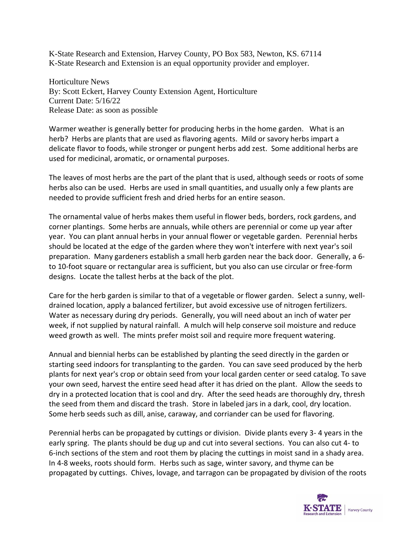K-State Research and Extension, Harvey County, PO Box 583, Newton, KS. 67114 K-State Research and Extension is an equal opportunity provider and employer.

Horticulture News By: Scott Eckert, Harvey County Extension Agent, Horticulture Current Date: 5/16/22 Release Date: as soon as possible

Warmer weather is generally better for producing herbs in the home garden. What is an herb? Herbs are plants that are used as flavoring agents. Mild or savory herbs impart a delicate flavor to foods, while stronger or pungent herbs add zest. Some additional herbs are used for medicinal, aromatic, or ornamental purposes.

The leaves of most herbs are the part of the plant that is used, although seeds or roots of some herbs also can be used. Herbs are used in small quantities, and usually only a few plants are needed to provide sufficient fresh and dried herbs for an entire season.

The ornamental value of herbs makes them useful in flower beds, borders, rock gardens, and corner plantings. Some herbs are annuals, while others are perennial or come up year after year. You can plant annual herbs in your annual flower or vegetable garden. Perennial herbs should be located at the edge of the garden where they won't interfere with next year's soil preparation. Many gardeners establish a small herb garden near the back door. Generally, a 6 to 10-foot square or rectangular area is sufficient, but you also can use circular or free-form designs. Locate the tallest herbs at the back of the plot.

Care for the herb garden is similar to that of a vegetable or flower garden. Select a sunny, welldrained location, apply a balanced fertilizer, but avoid excessive use of nitrogen fertilizers. Water as necessary during dry periods. Generally, you will need about an inch of water per week, if not supplied by natural rainfall. A mulch will help conserve soil moisture and reduce weed growth as well. The mints prefer moist soil and require more frequent watering.

Annual and biennial herbs can be established by planting the seed directly in the garden or starting seed indoors for transplanting to the garden. You can save seed produced by the herb plants for next year's crop or obtain seed from your local garden center or seed catalog. To save your own seed, harvest the entire seed head after it has dried on the plant. Allow the seeds to dry in a protected location that is cool and dry. After the seed heads are thoroughly dry, thresh the seed from them and discard the trash. Store in labeled jars in a dark, cool, dry location. Some herb seeds such as dill, anise, caraway, and corriander can be used for flavoring.

Perennial herbs can be propagated by cuttings or division. Divide plants every 3- 4 years in the early spring. The plants should be dug up and cut into several sections. You can also cut 4- to 6-inch sections of the stem and root them by placing the cuttings in moist sand in a shady area. In 4-8 weeks, roots should form. Herbs such as sage, winter savory, and thyme can be propagated by cuttings. Chives, lovage, and tarragon can be propagated by division of the roots